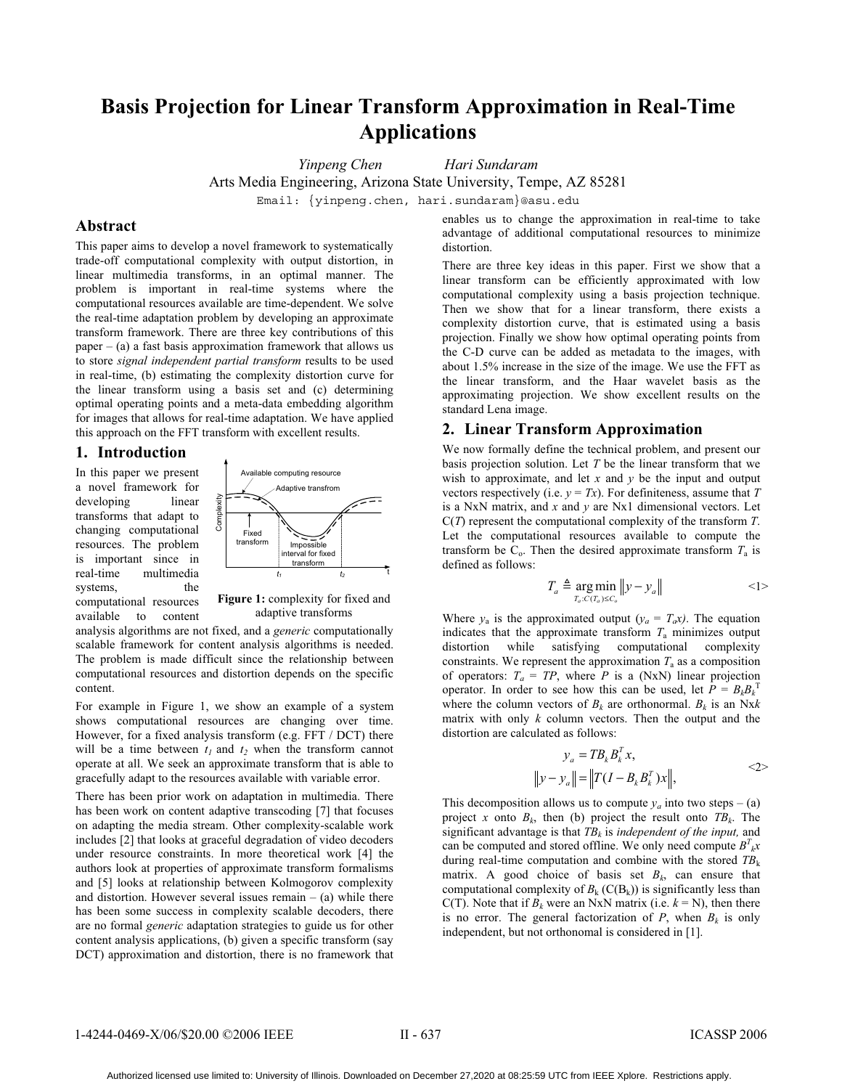# **Basis Projection for Linear Transform Approximation in Real-Time Applications**

*Yinpeng Chen Hari Sundaram* 

Arts Media Engineering, Arizona State University, Tempe, AZ 85281

Email: {yinpeng.chen, hari.sundaram}@asu.edu

# **Abstract**

This paper aims to develop a novel framework to systematically trade-off computational complexity with output distortion, in linear multimedia transforms, in an optimal manner. The problem is important in real-time systems where the computational resources available are time-dependent. We solve the real-time adaptation problem by developing an approximate transform framework. There are three key contributions of this paper  $-$  (a) a fast basis approximation framework that allows us to store *signal independent partial transform* results to be used in real-time, (b) estimating the complexity distortion curve for the linear transform using a basis set and (c) determining optimal operating points and a meta-data embedding algorithm for images that allows for real-time adaptation. We have applied this approach on the FFT transform with excellent results.

# **1. Introduction**

In this paper we present a novel framework for developing linear transforms that adapt to changing computational resources. The problem is important since in real-time multimedia systems, the computational resources available to content



Figure 1: complexity for fixed and adaptive transforms

analysis algorithms are not fixed, and a *generic* computationally scalable framework for content analysis algorithms is needed. The problem is made difficult since the relationship between computational resources and distortion depends on the specific content.

For example in Figure 1, we show an example of a system shows computational resources are changing over time. However, for a fixed analysis transform (e.g. FFT / DCT) there will be a time between  $t_1$  and  $t_2$  when the transform cannot operate at all. We seek an approximate transform that is able to gracefully adapt to the resources available with variable error.

There has been prior work on adaptation in multimedia. There has been work on content adaptive transcoding [7] that focuses on adapting the media stream. Other complexity-scalable work includes [2] that looks at graceful degradation of video decoders under resource constraints. In more theoretical work [4] the authors look at properties of approximate transform formalisms and [5] looks at relationship between Kolmogorov complexity and distortion. However several issues remain  $-$  (a) while there has been some success in complexity scalable decoders, there are no formal *generic* adaptation strategies to guide us for other content analysis applications, (b) given a specific transform (say DCT) approximation and distortion, there is no framework that

enables us to change the approximation in real-time to take advantage of additional computational resources to minimize distortion.

There are three key ideas in this paper. First we show that a linear transform can be efficiently approximated with low computational complexity using a basis projection technique. Then we show that for a linear transform, there exists a complexity distortion curve, that is estimated using a basis projection. Finally we show how optimal operating points from the C-D curve can be added as metadata to the images, with about 1.5% increase in the size of the image. We use the FFT as the linear transform, and the Haar wavelet basis as the approximating projection. We show excellent results on the standard Lena image.

# **2. Linear Transform Approximation**

We now formally define the technical problem, and present our basis projection solution. Let *T* be the linear transform that we wish to approximate, and let *x* and *y* be the input and output vectors respectively (i.e.  $y = Tx$ ). For definiteness, assume that *T* is a NxN matrix, and *x* and *y* are Nx1 dimensional vectors. Let C(*T*) represent the computational complexity of the transform *T*. Let the computational resources available to compute the transform be  $C_0$ . Then the desired approximate transform  $T_a$  is defined as follows:

$$
T_a \triangleq \underset{T_a:C(T_a)\leq C_o}{\arg\min} \|y - y_a\|
$$
  $<1>$ 

Where  $y_a$  is the approximated output  $(y_a = T_a x)$ . The equation indicates that the approximate transform  $T_a$  minimizes output distortion while satisfying computational complexity while satisfying computational constraints. We represent the approximation  $T_a$  as a composition of operators:  $T_a = TP$ , where *P* is a (NxN) linear projection operator. In order to see how this can be used, let  $P = B_k B_k^T$ where the column vectors of  $B_k$  are orthonormal.  $B_k$  is an Nxk matrix with only *k* column vectors. Then the output and the distortion are calculated as follows:

$$
y_a = T B_k B_k^T x,
$$
  

$$
||y - y_a|| = ||T(I - B_k B_k^T) x||,
$$
  $\langle 2 \rangle$ 

This decomposition allows us to compute  $y_a$  into two steps – (a) project *x* onto  $B_k$ , then (b) project the result onto  $TB_k$ . The significant advantage is that  $TB<sub>k</sub>$  is *independent of the input*, and can be computed and stored offline. We only need compute  $B^T{}_{k}x$ during real-time computation and combine with the stored  $TB_k$ matrix. A good choice of basis set  $B_k$ , can ensure that computational complexity of  $B_k$  (C( $B_k$ )) is significantly less than C(T). Note that if  $B_k$  were an NxN matrix (i.e.  $k = N$ ), then there is no error. The general factorization of  $P$ , when  $B_k$  is only independent, but not orthonomal is considered in [1].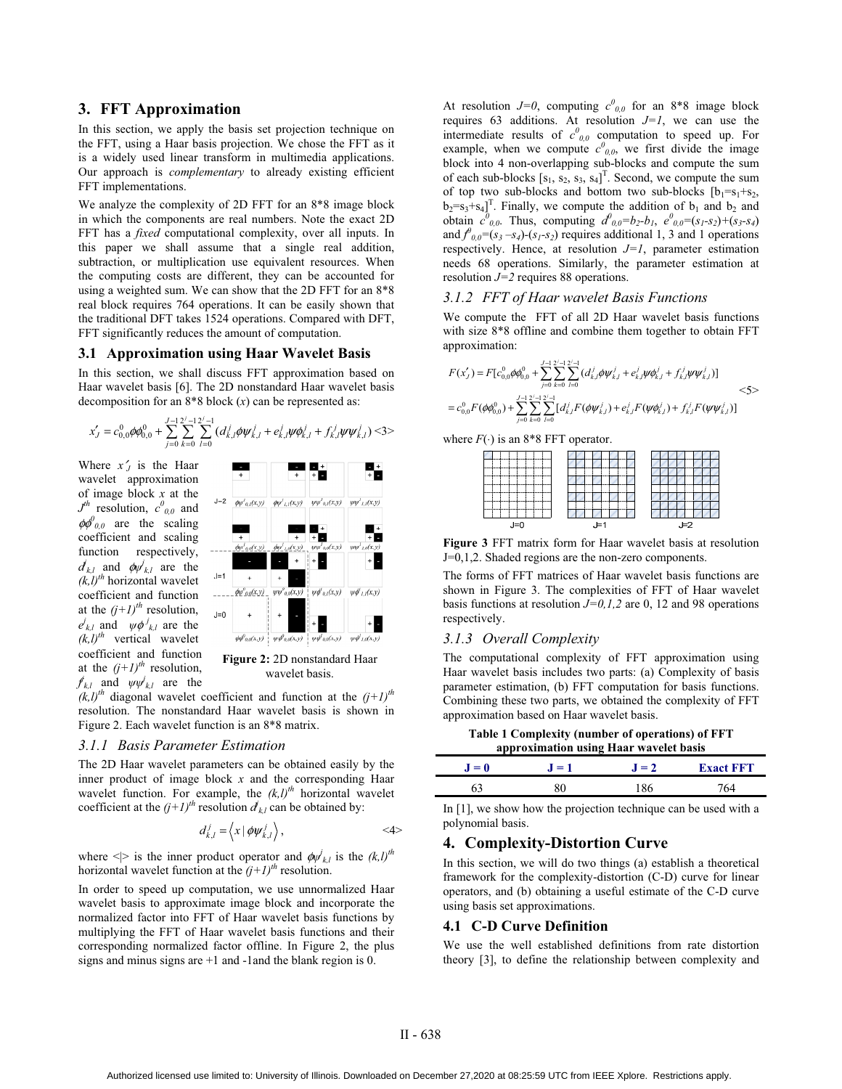# **3. FFT Approximation**

In this section, we apply the basis set projection technique on the FFT, using a Haar basis projection. We chose the FFT as it is a widely used linear transform in multimedia applications. Our approach is *complementary* to already existing efficient FFT implementations.

We analyze the complexity of 2D FFT for an 8\*8 image block in which the components are real numbers. Note the exact 2D FFT has a *fixed* computational complexity, over all inputs. In this paper we shall assume that a single real addition, subtraction, or multiplication use equivalent resources. When the computing costs are different, they can be accounted for using a weighted sum. We can show that the 2D FFT for an 8\*8 real block requires 764 operations. It can be easily shown that the traditional DFT takes 1524 operations. Compared with DFT, FFT significantly reduces the amount of computation.

### **3.1 Approximation using Haar Wavelet Basis**

In this section, we shall discuss FFT approximation based on Haar wavelet basis [6]. The 2D nonstandard Haar wavelet basis decomposition for an 8\*8 block (*x*) can be represented as:

$$
x'_J=c_{0,0}^0\phi\phi_{0,0}^0+\sum_{j=0}^{J-1}\sum_{k=0}^{2^J-1}\sum_{l=0}^{2^J-1}(d_{k,l}^j\phi\psi_{k,l}^j+e_{k,l}^j\psi\phi_{k,l}^j+f_{k,l}^j\psi\psi_{k,l}^j)\leq3>
$$

Where  $x'_J$  is the Haar wavelet approximation of image block *x* at the  $J<sup>th</sup>$  resolution,  $c<sup>0</sup>_{0,0}$  and  $\phi \phi^0_{0,0}$  are the scaling coefficient and scaling function respectively,  $d_{k,l}$  and  $\phi \psi_{k,l}$  are the  $(k, l)$ <sup>th</sup> horizontal wavelet coefficient and function at the  $(j+1)<sup>th</sup>$  resolution,  $e^{j}$ <sub>*k*,*l*</sub> and  $\psi \phi^{j}$ <sub>*k*,*l*</sub> are the  $(k, l)^{th}$  vertical wavelet coefficient and function at the  $(j+1)^{th}$  resolution,  $f_{k,l}$  and  $\psi \psi_{k,l}$  are the



**Figure 2:** 2D nonstandard Haar wavelet basis.

 $(k, l)^{th}$  diagonal wavelet coefficient and function at the  $(j+1)^{th}$ resolution. The nonstandard Haar wavelet basis is shown in Figure 2. Each wavelet function is an 8\*8 matrix.

# *3.1.1 Basis Parameter Estimation*

The 2D Haar wavelet parameters can be obtained easily by the inner product of image block *x* and the corresponding Haar wavelet function. For example, the  $(k, l)^{th}$  horizontal wavelet coefficient at the  $(j+1)^{th}$  resolution  $d_{k,l}$  can be obtained by:

$$
d_{k,l}^j = \left\langle x \, | \, \phi \psi_{k,l}^j \right\rangle, \tag{4}
$$

where  $\langle \rangle$  is the inner product operator and  $\phi \psi_{k,l}$  is the  $(k,l)^{th}$ horizontal wavelet function at the  $(j+1)^{th}$  resolution.

In order to speed up computation, we use unnormalized Haar wavelet basis to approximate image block and incorporate the normalized factor into FFT of Haar wavelet basis functions by multiplying the FFT of Haar wavelet basis functions and their corresponding normalized factor offline. In Figure 2, the plus signs and minus signs are +1 and -1and the blank region is 0.

At resolution  $J=0$ , computing  $c^0_{0,0}$  for an 8<sup>\*8</sup> image block requires 63 additions. At resolution  $J=1$ , we can use the intermediate results of  $c^0_{0,0}$  computation to speed up. For example, when we compute  $c^0_{0,0}$ , we first divide the image block into 4 non-overlapping sub-blocks and compute the sum of each sub-blocks  $[s_1, s_2, s_3, s_4]^T$ . Second, we compute the sum of top two sub-blocks and bottom two sub-blocks  $[b_1=s_1+s_2,$  $b_2 = s_3 + s_4$ <sup>T</sup>. Finally, we compute the addition of  $b_1$  and  $b_2$  and obtain  $c^0_{0,0}$ . Thus, computing  $d^0_{0,0}=b_2-b_1$ ,  $e^0_{0,0}=(s_1-s_2)+(s_3-s_4)$ and  $f_{0,0}^{\theta} = (s_3 - s_4)$ - $(s_1 - s_2)$  requires additional 1, 3 and 1 operations respectively. Hence, at resolution  $J=I$ , parameter estimation needs 68 operations. Similarly, the parameter estimation at resolution *J=2* requires 88 operations.

## *3.1.2 FFT of Haar wavelet Basis Functions*

We compute the FFT of all 2D Haar wavelet basis functions with size 8\*8 offline and combine them together to obtain FFT approximation:

$$
F(x'_j) = F[c^0_{0,0}\phi\phi^0_{0,0} + \sum_{j=0}^{J-1}\sum_{k=0}^{2^{j}-1}\sum_{l=0}^{2^{j}-1} (d'_{k,l}\phi\psi^j_{k,l} + e^j_{k,l}\psi\phi^j_{k,l} + f^j_{k,l}\psi\psi^j_{k,l})]
$$
  

$$
= c^0_{0,0}F(\phi\phi^0_{0,0}) + \sum_{j=0}^{J-1}\sum_{k=0}^{2^{j}-1}\sum_{l=0}^{2^{j}-1} [d'_{k,l}F(\phi\psi^j_{k,l}) + e^j_{k,l}F(\psi\phi^j_{k,l}) + f^j_{k,l}F(\psi\psi^j_{k,l})]
$$

$$
\leq 5>
$$

where  $F(\cdot)$  is an 8\*8 FFT operator.

| <br>--------                        | ----<br>----              | ---- |
|-------------------------------------|---------------------------|------|
| <br><br><br>------                  |                           |      |
| <br><br>                            | 44.44<br><b>HARRY</b><br> |      |
| <br>-------------<br>--------       | ------<br>-----<br>       | ---  |
| -------------<br>-------<br>------- | -----<br>-----<br>-----   |      |
| ------                              |                           |      |
|                                     |                           |      |

**Figure 3** FFT matrix form for Haar wavelet basis at resolution J=0,1,2. Shaded regions are the non-zero components.

The forms of FFT matrices of Haar wavelet basis functions are shown in Figure 3. The complexities of FFT of Haar wavelet basis functions at resolution *J=0,1,2* are 0, 12 and 98 operations respectively.

#### *3.1.3 Overall Complexity*

The computational complexity of FFT approximation using Haar wavelet basis includes two parts: (a) Complexity of basis parameter estimation, (b) FFT computation for basis functions. Combining these two parts, we obtained the complexity of FFT approximation based on Haar wavelet basis.

**Table 1 Complexity (number of operations) of FFT approximation using Haar wavelet basis** 

| $J=0$ | $=1$ | $= 2$ | <b>Exact FFT</b> |
|-------|------|-------|------------------|
|       |      |       |                  |

In [1], we show how the projection technique can be used with a polynomial basis.

# **4. Complexity-Distortion Curve**

In this section, we will do two things (a) establish a theoretical framework for the complexity-distortion (C-D) curve for linear operators, and (b) obtaining a useful estimate of the C-D curve using basis set approximations.

#### **4.1 C-D Curve Definition**

We use the well established definitions from rate distortion theory [3], to define the relationship between complexity and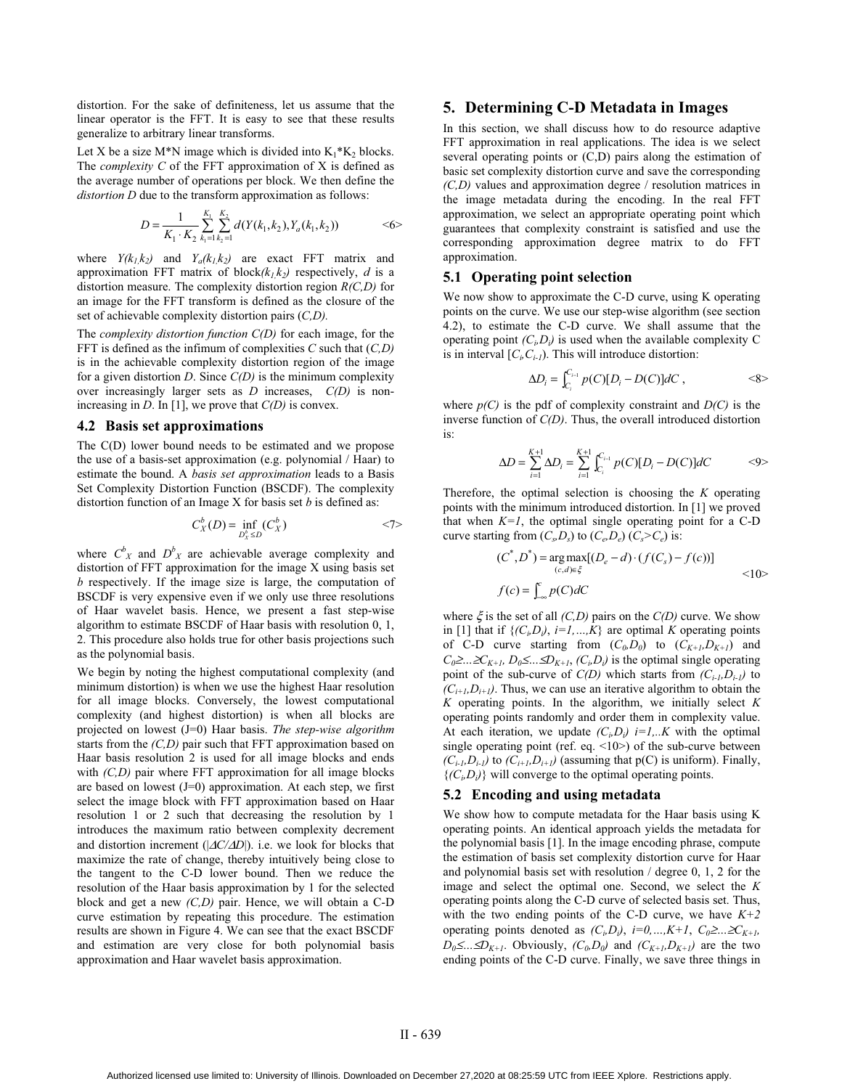distortion. For the sake of definiteness, let us assume that the linear operator is the FFT. It is easy to see that these results generalize to arbitrary linear transforms.

Let X be a size M\*N image which is divided into  $K_1$ <sup>\*</sup> $K_2$  blocks. The *complexity C* of the FFT approximation of X is defined as the average number of operations per block. We then define the *distortion D* due to the transform approximation as follows:

$$
D = \frac{1}{K_1 \cdot K_2} \sum_{k_1 = 1}^{K_1} \sum_{k_2 = 1}^{K_2} d(Y(k_1, k_2), Y_a(k_1, k_2)) \qquad \qquad \text{<6>}
$$

where  $Y(k_1, k_2)$  and  $Y_a(k_1, k_2)$  are exact FFT matrix and approximation FFT matrix of block $(k_1, k_2)$  respectively, *d* is a distortion measure. The complexity distortion region *R(C,D)* for an image for the FFT transform is defined as the closure of the set of achievable complexity distortion pairs (*C,D).*

The *complexity distortion function C(D)* for each image, for the FFT is defined as the infimum of complexities *C* such that (*C,D)* is in the achievable complexity distortion region of the image for a given distortion *D*. Since *C(D)* is the minimum complexity over increasingly larger sets as *D* increases, *C(D)* is nonincreasing in *D*. In [1], we prove that *C(D)* is convex.

#### **4.2 Basis set approximations**

The C(D) lower bound needs to be estimated and we propose the use of a basis-set approximation (e.g. polynomial / Haar) to estimate the bound. A *basis set approximation* leads to a Basis Set Complexity Distortion Function (BSCDF). The complexity distortion function of an Image X for basis set *b* is defined as:

$$
C_X^b(D) = \inf_{D_X^b \le D} (C_X^b)
$$
  $\langle 7 \rangle$ 

where  $C_{X}^{b}$  and  $D_{X}^{b}$  are achievable average complexity and distortion of FFT approximation for the image X using basis set *b* respectively. If the image size is large, the computation of BSCDF is very expensive even if we only use three resolutions of Haar wavelet basis. Hence, we present a fast step-wise algorithm to estimate BSCDF of Haar basis with resolution 0, 1, 2. This procedure also holds true for other basis projections such as the polynomial basis.

We begin by noting the highest computational complexity (and minimum distortion) is when we use the highest Haar resolution for all image blocks. Conversely, the lowest computational complexity (and highest distortion) is when all blocks are projected on lowest (J=0) Haar basis. *The step-wise algorithm* starts from the *(C,D)* pair such that FFT approximation based on Haar basis resolution 2 is used for all image blocks and ends with *(C,D)* pair where FFT approximation for all image blocks are based on lowest (J=0) approximation. At each step, we first select the image block with FFT approximation based on Haar resolution 1 or 2 such that decreasing the resolution by 1 introduces the maximum ratio between complexity decrement and distortion increment (|∆*C/*∆*D*|). i.e. we look for blocks that maximize the rate of change, thereby intuitively being close to the tangent to the C-D lower bound. Then we reduce the resolution of the Haar basis approximation by 1 for the selected block and get a new *(C,D)* pair. Hence, we will obtain a C-D curve estimation by repeating this procedure. The estimation results are shown in Figure 4. We can see that the exact BSCDF and estimation are very close for both polynomial basis approximation and Haar wavelet basis approximation.

## **5. Determining C-D Metadata in Images**

In this section, we shall discuss how to do resource adaptive FFT approximation in real applications. The idea is we select several operating points or (C,D) pairs along the estimation of basic set complexity distortion curve and save the corresponding *(C,D)* values and approximation degree / resolution matrices in the image metadata during the encoding. In the real FFT approximation, we select an appropriate operating point which guarantees that complexity constraint is satisfied and use the corresponding approximation degree matrix to do FFT approximation.

# **5.1 Operating point selection**

We now show to approximate the C-D curve, using K operating points on the curve. We use our step-wise algorithm (see section 4.2), to estimate the C-D curve. We shall assume that the operating point  $(C_i, D_i)$  is used when the available complexity C is in interval  $[C_i, C_{i-1}]$ . This will introduce distortion:

$$
\Delta D_i = \int_{C_i}^{C_{i-1}} p(C)[D_i - D(C)]dC ,\qquad \qquad \langle 8 \rangle
$$

where  $p(C)$  is the pdf of complexity constraint and  $D(C)$  is the inverse function of *C(D)*. Thus, the overall introduced distortion is:

$$
\Delta D = \sum_{i=1}^{K+1} \Delta D_i = \sum_{i=1}^{K+1} \int_{C_i}^{C_{i-1}} p(C)[D_i - D(C)]dC \qquad \text{<9>}
$$

Therefore, the optimal selection is choosing the *K* operating points with the minimum introduced distortion. In [1] we proved that when  $K=1$ , the optimal single operating point for a C-D curve starting from  $(C_s, D_s)$  to  $(C_e, D_e)$   $(C_s > C_e)$  is:

$$
(C^*, D^*) = \underset{(c,d)\in\xi}{\arg\max} [(D_e - d) \cdot (f(C_s) - f(c))]
$$
  

$$
f(c) = \int_{-\infty}^{c} p(C)dC
$$

where  $\xi$  is the set of all *(C,D)* pairs on the  $C(D)$  curve. We show in [1] that if  $\{(C_i, D_i), i=1,...,K\}$  are optimal *K* operating points of C-D curve starting from  $(C_0, D_0)$  to  $(C_{K+1}, D_{K+1})$  and *C*<sub>0</sub>≥…≥*C*<sub>*K+1</sub>*, *D*<sub>0</sub>≤…≤*D*<sub>*K+1</sub>*, *(C<sub>i</sub>*,*D<sub>i</sub>*) is the optimal single operating</sub></sub> point of the sub-curve of  $C(D)$  which starts from  $(C_{i-l}, D_{i-l})$  to  $(C_{i+1}, D_{i+1})$ . Thus, we can use an iterative algorithm to obtain the *K* operating points. In the algorithm, we initially select *K* operating points randomly and order them in complexity value. At each iteration, we update  $(C_i, D_i)$   $i=1...K$  with the optimal single operating point (ref. eq.  $\langle 10 \rangle$ ) of the sub-curve between  $(C_{i-l}, D_{i-l})$  to  $(C_{i+l}, D_{i+l})$  (assuming that  $p(C)$  is uniform). Finally,  $\{(C_i, D_i)\}\$  will converge to the optimal operating points.

#### **5.2 Encoding and using metadata**

We show how to compute metadata for the Haar basis using K operating points. An identical approach yields the metadata for the polynomial basis [1]. In the image encoding phrase, compute the estimation of basis set complexity distortion curve for Haar and polynomial basis set with resolution / degree 0, 1, 2 for the image and select the optimal one. Second, we select the *K* operating points along the C-D curve of selected basis set. Thus, with the two ending points of the C-D curve, we have *K+2* operating points denoted as  $(C_i, D_i)$ ,  $i=0,...,K+1$ ,  $C_0 \geq ... \geq C_{K+1}$ ,  $D_0 \leq ... \leq D_{K+1}$ . Obviously,  $(C_0, D_0)$  and  $(C_{K+1}, D_{K+1})$  are the two ending points of the C-D curve. Finally, we save three things in